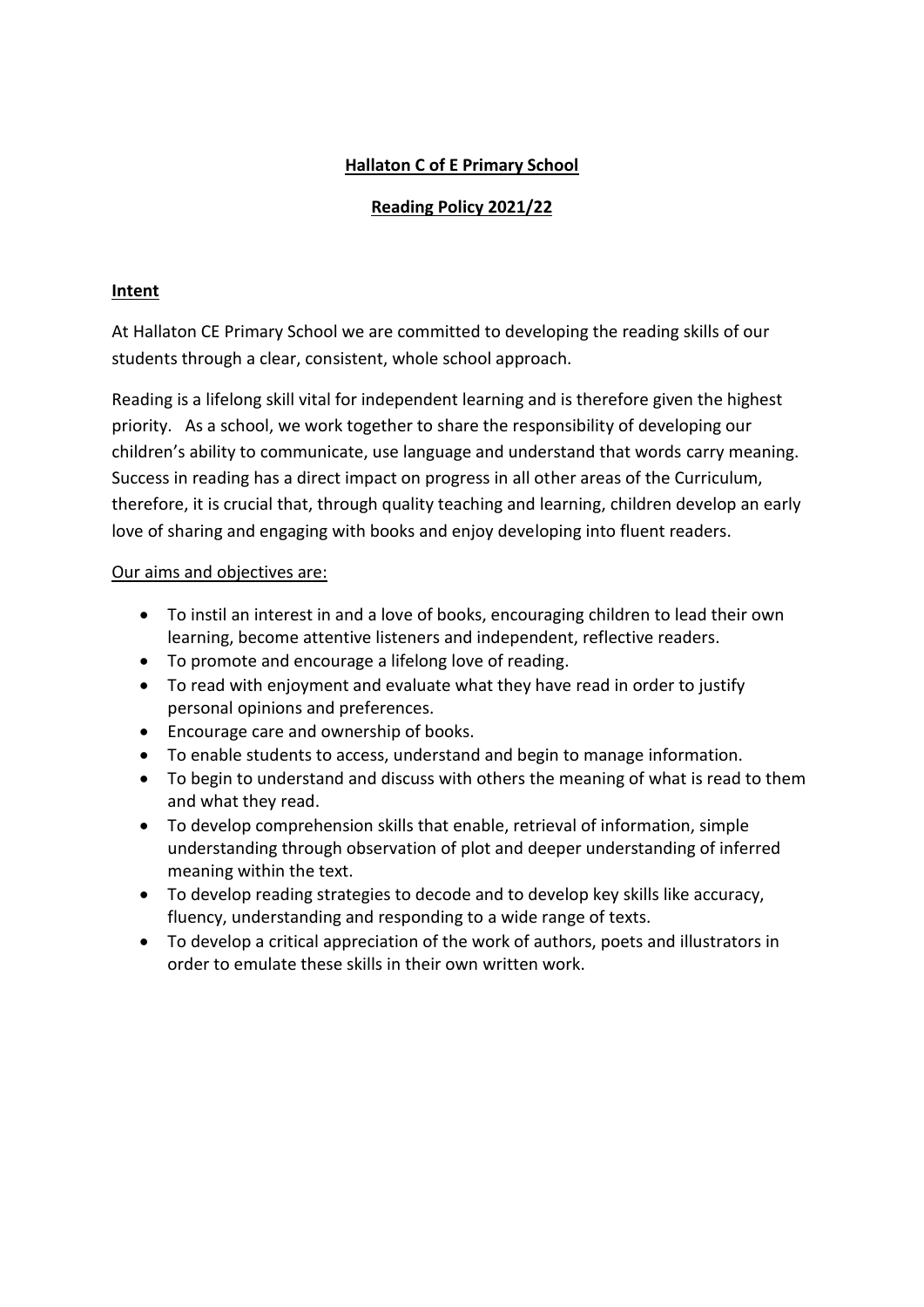# **Hallaton C of E Primary School**

# **Reading Policy 2021/22**

## **Intent**

At Hallaton CE Primary School we are committed to developing the reading skills of our students through a clear, consistent, whole school approach.

Reading is a lifelong skill vital for independent learning and is therefore given the highest priority. As a school, we work together to share the responsibility of developing our children's ability to communicate, use language and understand that words carry meaning. Success in reading has a direct impact on progress in all other areas of the Curriculum, therefore, it is crucial that, through quality teaching and learning, children develop an early love of sharing and engaging with books and enjoy developing into fluent readers.

## Our aims and objectives are:

- To instil an interest in and a love of books, encouraging children to lead their own learning, become attentive listeners and independent, reflective readers.
- To promote and encourage a lifelong love of reading.
- To read with enjoyment and evaluate what they have read in order to justify personal opinions and preferences.
- Encourage care and ownership of books.
- To enable students to access, understand and begin to manage information.
- To begin to understand and discuss with others the meaning of what is read to them and what they read.
- To develop comprehension skills that enable, retrieval of information, simple understanding through observation of plot and deeper understanding of inferred meaning within the text.
- To develop reading strategies to decode and to develop key skills like accuracy, fluency, understanding and responding to a wide range of texts.
- To develop a critical appreciation of the work of authors, poets and illustrators in order to emulate these skills in their own written work.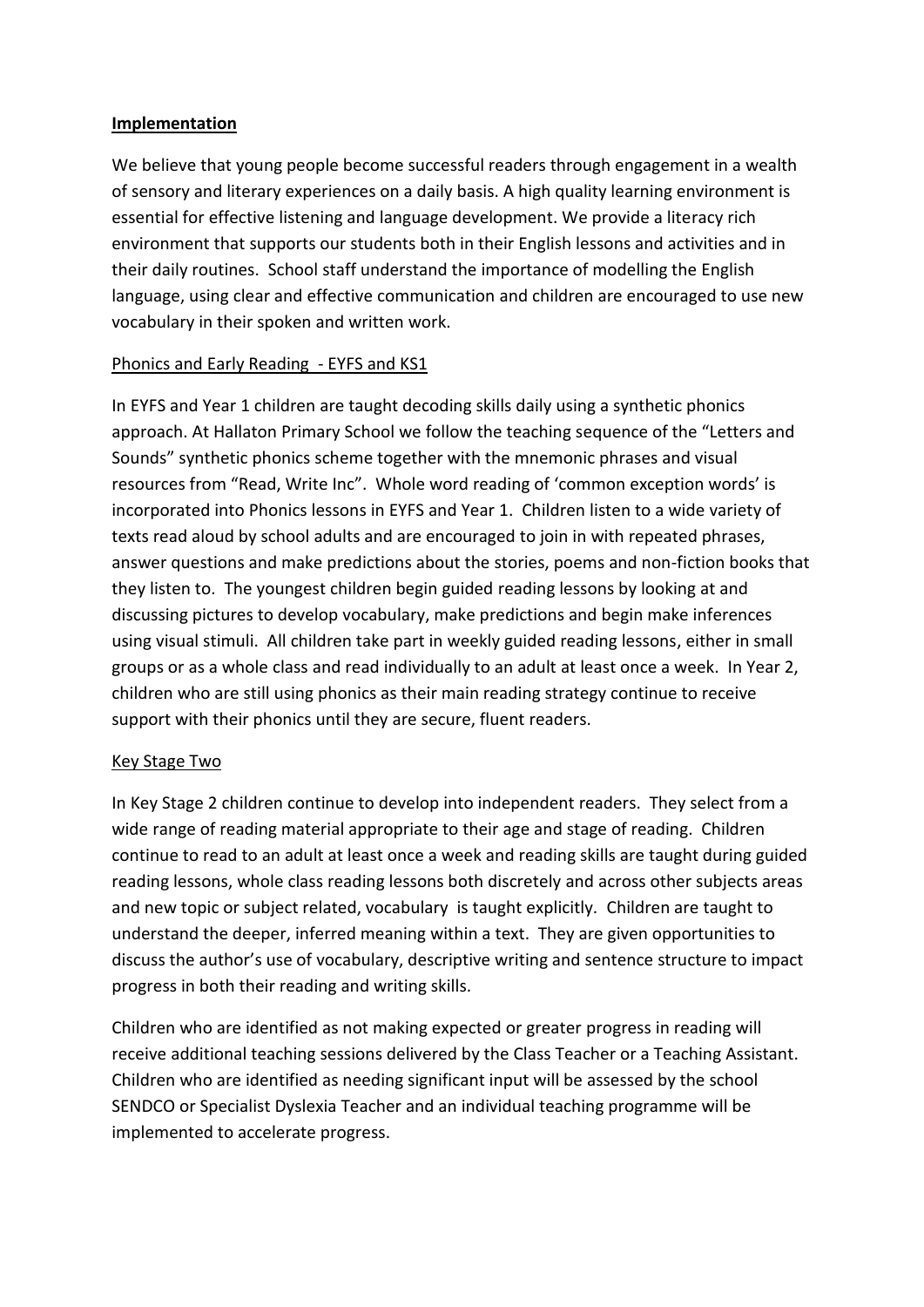#### **Implementation**

We believe that young people become successful readers through engagement in a wealth of sensory and literary experiences on a daily basis. A high quality learning environment is essential for effective listening and language development. We provide a literacy rich environment that supports our students both in their English lessons and activities and in their daily routines. School staff understand the importance of modelling the English language, using clear and effective communication and children are encouraged to use new vocabulary in their spoken and written work.

## Phonics and Early Reading - EYFS and KS1

In EYFS and Year 1 children are taught decoding skills daily using a synthetic phonics approach. At Hallaton Primary School we follow the teaching sequence of the "Letters and Sounds" synthetic phonics scheme together with the mnemonic phrases and visual resources from "Read, Write Inc". Whole word reading of 'common exception words' is incorporated into Phonics lessons in EYFS and Year 1. Children listen to a wide variety of texts read aloud by school adults and are encouraged to join in with repeated phrases, answer questions and make predictions about the stories, poems and non-fiction books that they listen to. The youngest children begin guided reading lessons by looking at and discussing pictures to develop vocabulary, make predictions and begin make inferences using visual stimuli. All children take part in weekly guided reading lessons, either in small groups or as a whole class and read individually to an adult at least once a week. In Year 2, children who are still using phonics as their main reading strategy continue to receive support with their phonics until they are secure, fluent readers.

#### Key Stage Two

In Key Stage 2 children continue to develop into independent readers. They select from a wide range of reading material appropriate to their age and stage of reading. Children continue to read to an adult at least once a week and reading skills are taught during guided reading lessons, whole class reading lessons both discretely and across other subjects areas and new topic or subject related, vocabulary is taught explicitly. Children are taught to understand the deeper, inferred meaning within a text. They are given opportunities to discuss the author's use of vocabulary, descriptive writing and sentence structure to impact progress in both their reading and writing skills.

Children who are identified as not making expected or greater progress in reading will receive additional teaching sessions delivered by the Class Teacher or a Teaching Assistant. Children who are identified as needing significant input will be assessed by the school SENDCO or Specialist Dyslexia Teacher and an individual teaching programme will be implemented to accelerate progress.